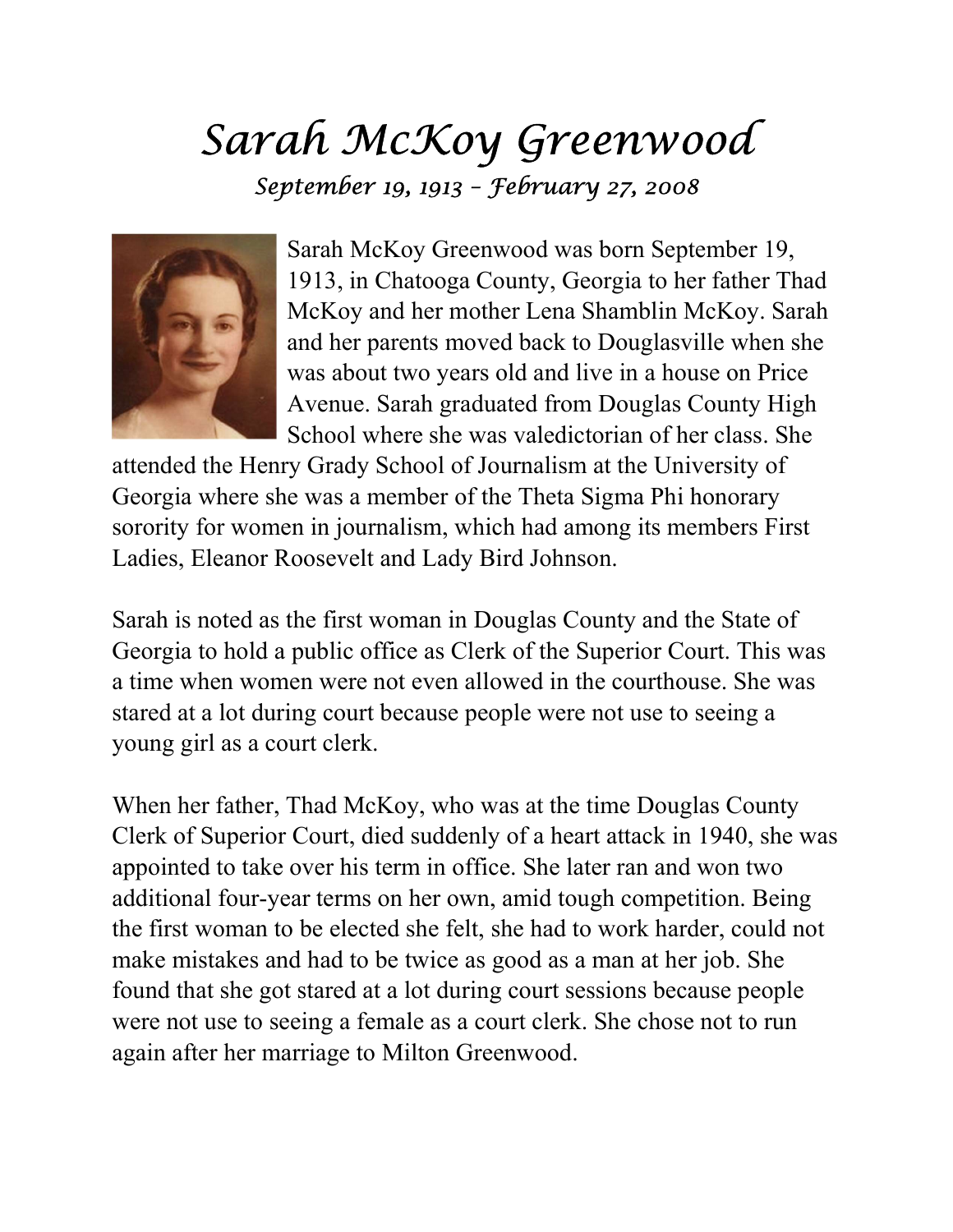## Sarah McKoy Greenwood September 19, 1913 – February 27, 2008



Sarah McKoy Greenwood was born September 19, 1913, in Chatooga County, Georgia to her father Thad McKoy and her mother Lena Shamblin McKoy. Sarah and her parents moved back to Douglasville when she was about two years old and live in a house on Price Avenue. Sarah graduated from Douglas County High School where she was valedictorian of her class. She

attended the Henry Grady School of Journalism at the University of Georgia where she was a member of the Theta Sigma Phi honorary sorority for women in journalism, which had among its members First Ladies, Eleanor Roosevelt and Lady Bird Johnson.

Sarah is noted as the first woman in Douglas County and the State of Georgia to hold a public office as Clerk of the Superior Court. This was a time when women were not even allowed in the courthouse. She was stared at a lot during court because people were not use to seeing a young girl as a court clerk.

When her father, Thad McKoy, who was at the time Douglas County Clerk of Superior Court, died suddenly of a heart attack in 1940, she was appointed to take over his term in office. She later ran and won two additional four-year terms on her own, amid tough competition. Being the first woman to be elected she felt, she had to work harder, could not make mistakes and had to be twice as good as a man at her job. She found that she got stared at a lot during court sessions because people were not use to seeing a female as a court clerk. She chose not to run again after her marriage to Milton Greenwood.